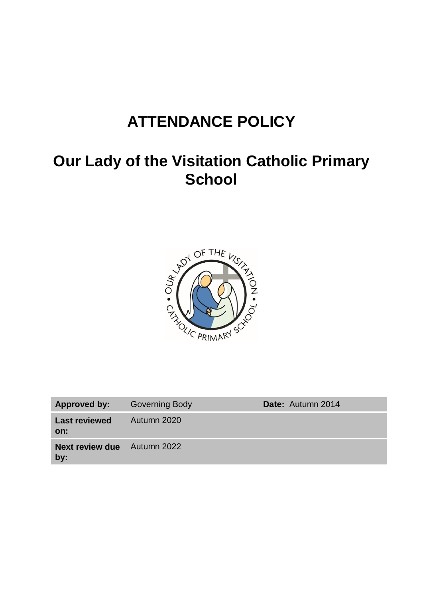# **ATTENDANCE POLICY**

## **Our Lady of the Visitation Catholic Primary School**



| Approved by:                              | <b>Governing Body</b> | Date: Autumn 2014 |
|-------------------------------------------|-----------------------|-------------------|
| <b>Last reviewed</b><br>on:               | Autumn 2020           |                   |
| <b>Next review due</b> Autumn 2022<br>by: |                       |                   |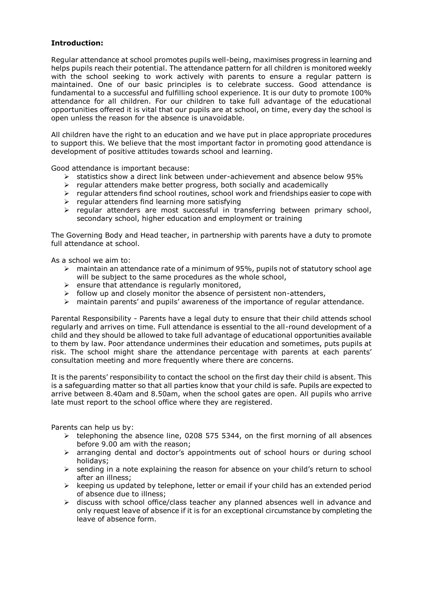## **Introduction:**

Regular attendance at school promotes pupils well-being, maximises progress in learning and helps pupils reach their potential. The attendance pattern for all children is monitored weekly with the school seeking to work actively with parents to ensure a regular pattern is maintained. One of our basic principles is to celebrate success. Good attendance is fundamental to a successful and fulfilling school experience. It is our duty to promote 100% attendance for all children. For our children to take full advantage of the educational opportunities offered it is vital that our pupils are at school, on time, every day the school is open unless the reason for the absence is unavoidable.

All children have the right to an education and we have put in place appropriate procedures to support this. We believe that the most important factor in promoting good attendance is development of positive attitudes towards school and learning.

Good attendance is important because:

- $\triangleright$  statistics show a direct link between under-achievement and absence below 95%
- $\triangleright$  regular attenders make better progress, both socially and academically
- $\triangleright$  regular attenders find school routines, school work and friendships easier to cope with
- $\triangleright$  regular attenders find learning more satisfying
- $\triangleright$  regular attenders are most successful in transferring between primary school, secondary school, higher education and employment or training

The Governing Body and Head teacher, in partnership with parents have a duty to promote full attendance at school.

As a school we aim to:

- $\triangleright$  maintain an attendance rate of a minimum of 95%, pupils not of statutory school age will be subject to the same procedures as the whole school,
- $\triangleright$  ensure that attendance is regularly monitored,
- $\triangleright$  follow up and closely monitor the absence of persistent non-attenders,
- maintain parents' and pupils' awareness of the importance of regular attendance.

Parental Responsibility - Parents have a legal duty to ensure that their child attends school regularly and arrives on time. Full attendance is essential to the all-round development of a child and they should be allowed to take full advantage of educational opportunities available to them by law. Poor attendance undermines their education and sometimes, puts pupils at risk. The school might share the attendance percentage with parents at each parents' consultation meeting and more frequently where there are concerns.

It is the parents' responsibility to contact the school on the first day their child is absent. This is a safeguarding matter so that all parties know that your child is safe. Pupils are expected to arrive between 8.40am and 8.50am, when the school gates are open. All pupils who arrive late must report to the school office where they are registered.

Parents can help us by:

- $\triangleright$  telephoning the absence line, 0208 575 5344, on the first morning of all absences before 9.00 am with the reason;
- $\triangleright$  arranging dental and doctor's appointments out of school hours or during school holidays;
- $\triangleright$  sending in a note explaining the reason for absence on your child's return to school after an illness;
- $\triangleright$  keeping us updated by telephone, letter or email if your child has an extended period of absence due to illness;
- $\geq$  discuss with school office/class teacher any planned absences well in advance and only request leave of absence if it is for an exceptional circumstance by completing the leave of absence form.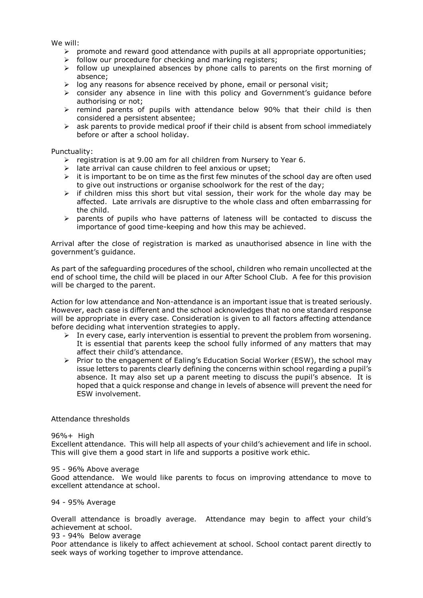We will:

- $\triangleright$  promote and reward good attendance with pupils at all appropriate opportunities;
- $\triangleright$  follow our procedure for checking and marking registers;
- $\triangleright$  follow up unexplained absences by phone calls to parents on the first morning of absence;
- $\triangleright$  log any reasons for absence received by phone, email or personal visit;
- $\triangleright$  consider any absence in line with this policy and Government's quidance before authorising or not;
- $\triangleright$  remind parents of pupils with attendance below 90% that their child is then considered a persistent absentee;
- $\triangleright$  ask parents to provide medical proof if their child is absent from school immediately before or after a school holiday.

Punctuality:

- $\triangleright$  registration is at 9.00 am for all children from Nursery to Year 6.
- $\triangleright$  late arrival can cause children to feel anxious or upset;
- $\triangleright$  it is important to be on time as the first few minutes of the school day are often used to give out instructions or organise schoolwork for the rest of the day;
- $\triangleright$  if children miss this short but vital session, their work for the whole day may be affected. Late arrivals are disruptive to the whole class and often embarrassing for the child.
- $\triangleright$  parents of pupils who have patterns of lateness will be contacted to discuss the importance of good time-keeping and how this may be achieved.

Arrival after the close of registration is marked as unauthorised absence in line with the government's guidance.

As part of the safeguarding procedures of the school, children who remain uncollected at the end of school time, the child will be placed in our After School Club. A fee for this provision will be charged to the parent.

Action for low attendance and Non-attendance is an important issue that is treated seriously. However, each case is different and the school acknowledges that no one standard response will be appropriate in every case. Consideration is given to all factors affecting attendance before deciding what intervention strategies to apply.

- $\triangleright$  In every case, early intervention is essential to prevent the problem from worsening. It is essential that parents keep the school fully informed of any matters that may affect their child's attendance.
- $\triangleright$  Prior to the engagement of Ealing's Education Social Worker (ESW), the school may issue letters to parents clearly defining the concerns within school regarding a pupil's absence. It may also set up a parent meeting to discuss the pupil's absence. It is hoped that a quick response and change in levels of absence will prevent the need for ESW involvement.

## Attendance thresholds

96%+ High

Excellent attendance. This will help all aspects of your child's achievement and life in school. This will give them a good start in life and supports a positive work ethic.

#### 95 - 96% Above average

Good attendance. We would like parents to focus on improving attendance to move to excellent attendance at school.

## 94 - 95% Average

Overall attendance is broadly average. Attendance may begin to affect your child's achievement at school.

93 - 94% Below average

Poor attendance is likely to affect achievement at school. School contact parent directly to seek ways of working together to improve attendance.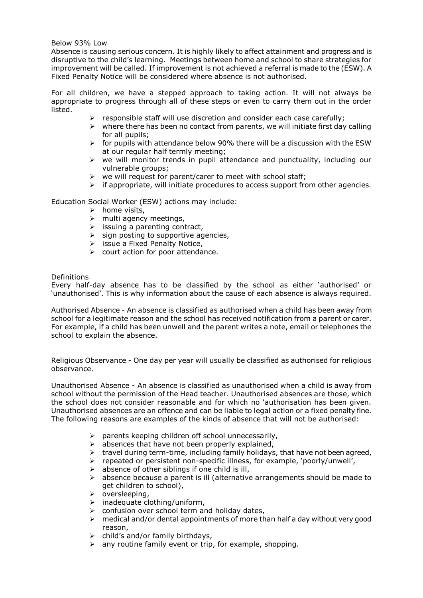## Below 93% Low

Absence is causing serious concern. It is highly likely to affect attainment and progress and is disruptive to the child's learning. Meetings between home and school to share strategies for improvement will be called. If improvement is not achieved a referral is made to the (ESW). A Fixed Penalty Notice will be considered where absence is not authorised.

For all children, we have a stepped approach to taking action. It will not always be appropriate to progress through all of these steps or even to carry them out in the order listed.

- $\triangleright$  responsible staff will use discretion and consider each case carefully;
- $\triangleright$  where there has been no contact from parents, we will initiate first day calling for all pupils;
- $\triangleright$  for pupils with attendance below 90% there will be a discussion with the ESW at our regular half termly meeting;
- $\triangleright$  we will monitor trends in pupil attendance and punctuality, including our vulnerable groups;
- $\triangleright$  we will request for parent/carer to meet with school staff;
- $\triangleright$  if appropriate, will initiate procedures to access support from other agencies.

Education Social Worker (ESW) actions may include:

- $\triangleright$  home visits,
- $\triangleright$  multi agency meetings,
- $\triangleright$  issuing a parenting contract,
- $\triangleright$  sign posting to supportive agencies,
- $\triangleright$  issue a Fixed Penalty Notice,
- $\triangleright$  court action for poor attendance.

#### Definitions

Every half-day absence has to be classified by the school as either 'authorised' or 'unauthorised'. This is why information about the cause of each absence is always required.

Authorised Absence - An absence is classified as authorised when a child has been away from school for a legitimate reason and the school has received notification from a parent or carer. For example, if a child has been unwell and the parent writes a note, email or telephones the school to explain the absence.

Religious Observance - One day per year will usually be classified as authorised for religious observance.

Unauthorised Absence - An absence is classified as unauthorised when a child is away from school without the permission of the Head teacher. Unauthorised absences are those, which the school does not consider reasonable and for which no 'authorisation has been given. Unauthorised absences are an offence and can be liable to legal action or a fixed penalty fine. The following reasons are examples of the kinds of absence that will not be authorised:

- $\triangleright$  parents keeping children off school unnecessarily,
- $\triangleright$  absences that have not been properly explained,
- $\triangleright$  travel during term-time, including family holidays, that have not been agreed,
- repeated or persistent non-specific illness, for example, 'poorly/unwell',
- $\triangleright$  absence of other siblings if one child is ill,
- $\triangleright$  absence because a parent is ill (alternative arrangements should be made to get children to school),
- oversleeping,
- $\triangleright$  inadequate clothing/uniform,
- $\triangleright$  confusion over school term and holiday dates,
- $\triangleright$  medical and/or dental appointments of more than half a day without very good reason,
- $\triangleright$  child's and/or family birthdays,
- $\triangleright$  any routine family event or trip, for example, shopping.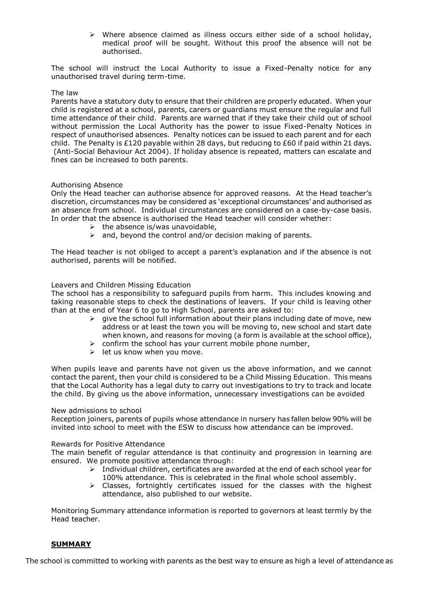$\triangleright$  Where absence claimed as illness occurs either side of a school holiday, medical proof will be sought. Without this proof the absence will not be authorised.

The school will instruct the Local Authority to issue a Fixed-Penalty notice for any unauthorised travel during term-time.

## The law

Parents have a statutory duty to ensure that their children are properly educated. When your child is registered at a school, parents, carers or guardians must ensure the regular and full time attendance of their child. Parents are warned that if they take their child out of school without permission the Local Authority has the power to issue Fixed-Penalty Notices in respect of unauthorised absences. Penalty notices can be issued to each parent and for each child. The Penalty is £120 payable within 28 days, but reducing to £60 if paid within 21 days. (Anti-Social Behaviour Act 2004). If holiday absence is repeated, matters can escalate and fines can be increased to both parents.

## Authorising Absence

Only the Head teacher can authorise absence for approved reasons. At the Head teacher's discretion, circumstances may be considered as 'exceptional circumstances' and authorised as an absence from school. Individual circumstances are considered on a case-by-case basis. In order that the absence is authorised the Head teacher will consider whether:

- $\triangleright$  the absence is/was unavoidable,
- $\geq$  and, beyond the control and/or decision making of parents.

The Head teacher is not obliged to accept a parent's explanation and if the absence is not authorised, parents will be notified.

#### Leavers and Children Missing Education

The school has a responsibility to safeguard pupils from harm. This includes knowing and taking reasonable steps to check the destinations of leavers. If your child is leaving other than at the end of Year 6 to go to High School, parents are asked to:

- $\triangleright$  give the school full information about their plans including date of move, new address or at least the town you will be moving to, new school and start date when known, and reasons for moving (a form is available at the school office),
- $\triangleright$  confirm the school has your current mobile phone number,
- $\triangleright$  let us know when you move.

When pupils leave and parents have not given us the above information, and we cannot contact the parent, then your child is considered to be a Child Missing Education. This means that the Local Authority has a legal duty to carry out investigations to try to track and locate the child. By giving us the above information, unnecessary investigations can be avoided

#### New admissions to school

Reception joiners, parents of pupils whose attendance in nursery has fallen below 90% will be invited into school to meet with the ESW to discuss how attendance can be improved.

#### Rewards for Positive Attendance

The main benefit of regular attendance is that continuity and progression in learning are ensured. We promote positive attendance through:

- $\triangleright$  Individual children, certificates are awarded at the end of each school year for 100% attendance. This is celebrated in the final whole school assembly.
- $\triangleright$  Classes, fortnightly certificates issued for the classes with the highest attendance, also published to our website.

Monitoring Summary attendance information is reported to governors at least termly by the Head teacher.

#### **SUMMARY**

The school is committed to working with parents as the best way to ensure as high a level of attendance as